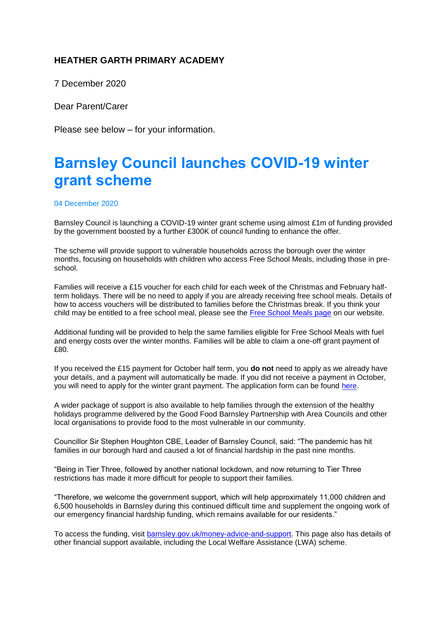## **HEATHER GARTH PRIMARY ACADEMY**

7 December 2020

Dear Parent/Carer

Please see below – for your information.

## **Barnsley Council launches COVID-19 winter grant scheme**

## 04 December 2020

Barnsley Council is launching a COVID-19 winter grant scheme using almost £1m of funding provided by the government boosted by a further £300K of council funding to enhance the offer.

The scheme will provide support to vulnerable households across the borough over the winter months, focusing on households with children who access Free School Meals, including those in preschool.

Families will receive a £15 voucher for each child for each week of the Christmas and February halfterm holidays. There will be no need to apply if you are already receiving free school meals. Details of how to access vouchers will be distributed to families before the Christmas break. If you think your child may be entitled to a free school meal, please see the [Free School Meals page](https://www.barnsley.gov.uk/services/children-families-and-education/schools-and-learning/free-school-meals/) on our website.

Additional funding will be provided to help the same families eligible for Free School Meals with fuel and energy costs over the winter months. Families will be able to claim a one-off grant payment of £80.

If you received the £15 payment for October half term, you **do not** need to apply as we already have your details, and a payment will automatically be made. If you did not receive a payment in October, you will need to apply for the winter grant payment. The application form can be found [here.](https://my.barnsley.gov.uk/form/apply-for-a-winter-grant-payment/page-1)

A wider package of support is also available to help families through the extension of the healthy holidays programme delivered by the Good Food Barnsley Partnership with Area Councils and other local organisations to provide food to the most vulnerable in our community.

Councillor Sir Stephen Houghton CBE, Leader of Barnsley Council, said: "The pandemic has hit families in our borough hard and caused a lot of financial hardship in the past nine months.

"Being in Tier Three, followed by another national lockdown, and now returning to Tier Three restrictions has made it more difficult for people to support their families.

"Therefore, we welcome the government support, which will help approximately 11,000 children and 6,500 households in Barnsley during this continued difficult time and supplement the ongoing work of our emergency financial hardship funding, which remains available for our residents."

To access the funding, visit [barnsley.gov.uk/money-advice-and-support.](http://www.barnsley.gov.uk/money-advice-and-support) This page also has details of other financial support available, including the Local Welfare Assistance (LWA) scheme.